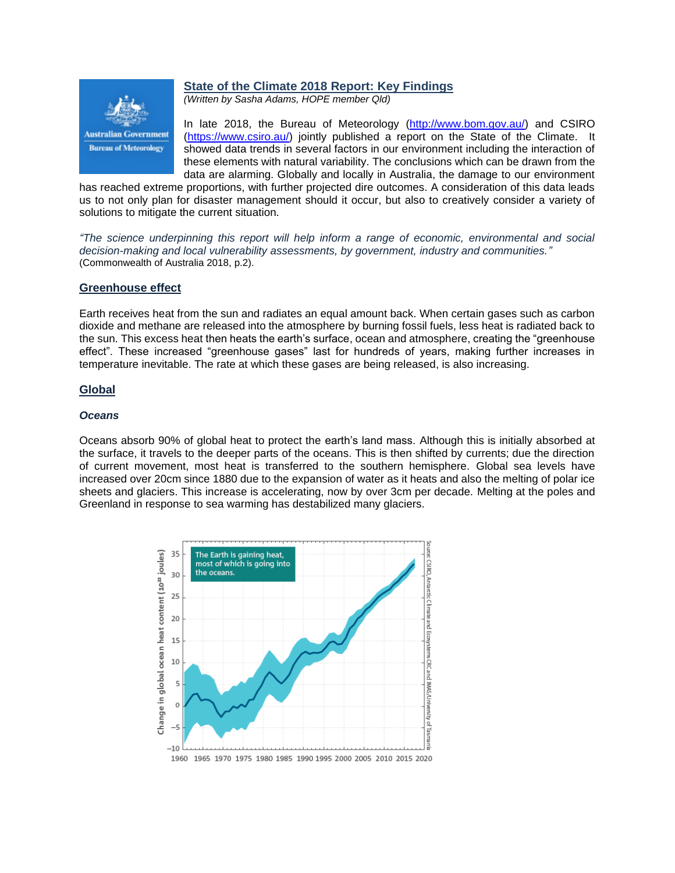

# **State of the Climate 2018 Report: Key Findings**

*(Written by Sasha Adams, HOPE member Qld)*

In late 2018, the Bureau of Meteorology [\(http://www.bom.gov.au/\)](http://www.bom.gov.au/) and CSIRO [\(https://www.csiro.au/\)](https://www.csiro.au/) jointly published a report on the State of the Climate. It showed data trends in several factors in our environment including the interaction of these elements with natural variability. The conclusions which can be drawn from the data are alarming. Globally and locally in Australia, the damage to our environment

has reached extreme proportions, with further projected dire outcomes. A consideration of this data leads us to not only plan for disaster management should it occur, but also to creatively consider a variety of solutions to mitigate the current situation.

*"The science underpinning this report will help inform a range of economic, environmental and social decision-making and local vulnerability assessments, by government, industry and communities."* (Commonwealth of Australia 2018, p.2).

## **Greenhouse effect**

Earth receives heat from the sun and radiates an equal amount back. When certain gases such as carbon dioxide and methane are released into the atmosphere by burning fossil fuels, less heat is radiated back to the sun. This excess heat then heats the earth's surface, ocean and atmosphere, creating the "greenhouse effect". These increased "greenhouse gases" last for hundreds of years, making further increases in temperature inevitable. The rate at which these gases are being released, is also increasing.

## **Global**

#### *Oceans*

Oceans absorb 90% of global heat to protect the earth's land mass. Although this is initially absorbed at the surface, it travels to the deeper parts of the oceans. This is then shifted by currents; due the direction of current movement, most heat is transferred to the southern hemisphere. Global sea levels have increased over 20cm since 1880 due to the expansion of water as it heats and also the melting of polar ice sheets and glaciers. This increase is accelerating, now by over 3cm per decade. Melting at the poles and Greenland in response to sea warming has destabilized many glaciers.